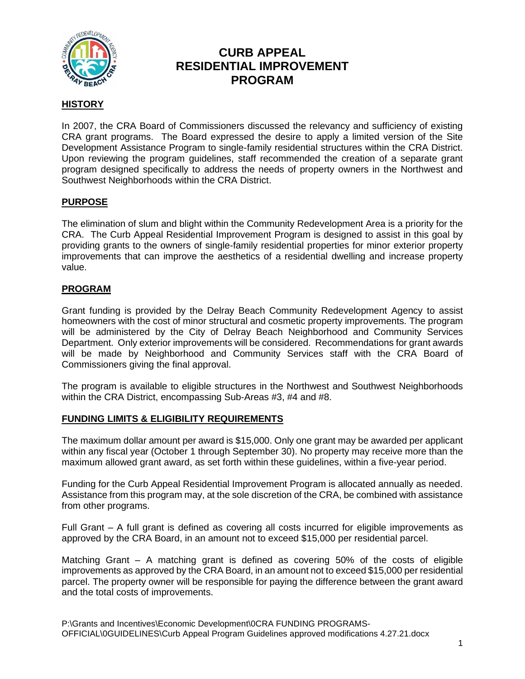

#### **HISTORY**

In 2007, the CRA Board of Commissioners discussed the relevancy and sufficiency of existing CRA grant programs. The Board expressed the desire to apply a limited version of the Site Development Assistance Program to single-family residential structures within the CRA District. Upon reviewing the program guidelines, staff recommended the creation of a separate grant program designed specifically to address the needs of property owners in the Northwest and Southwest Neighborhoods within the CRA District.

#### **PURPOSE**

The elimination of slum and blight within the Community Redevelopment Area is a priority for the CRA. The Curb Appeal Residential Improvement Program is designed to assist in this goal by providing grants to the owners of single-family residential properties for minor exterior property improvements that can improve the aesthetics of a residential dwelling and increase property value.

#### **PROGRAM**

Grant funding is provided by the Delray Beach Community Redevelopment Agency to assist homeowners with the cost of minor structural and cosmetic property improvements. The program will be administered by the City of Delray Beach Neighborhood and Community Services Department. Only exterior improvements will be considered. Recommendations for grant awards will be made by Neighborhood and Community Services staff with the CRA Board of Commissioners giving the final approval.

The program is available to eligible structures in the Northwest and Southwest Neighborhoods within the CRA District, encompassing Sub-Areas #3, #4 and #8.

#### **FUNDING LIMITS & ELIGIBILITY REQUIREMENTS**

The maximum dollar amount per award is \$15,000. Only one grant may be awarded per applicant within any fiscal year (October 1 through September 30). No property may receive more than the maximum allowed grant award, as set forth within these guidelines, within a five-year period.

Funding for the Curb Appeal Residential Improvement Program is allocated annually as needed. Assistance from this program may, at the sole discretion of the CRA, be combined with assistance from other programs.

Full Grant – A full grant is defined as covering all costs incurred for eligible improvements as approved by the CRA Board, in an amount not to exceed \$15,000 per residential parcel.

Matching Grant – A matching grant is defined as covering 50% of the costs of eligible improvements as approved by the CRA Board, in an amount not to exceed \$15,000 per residential parcel. The property owner will be responsible for paying the difference between the grant award and the total costs of improvements.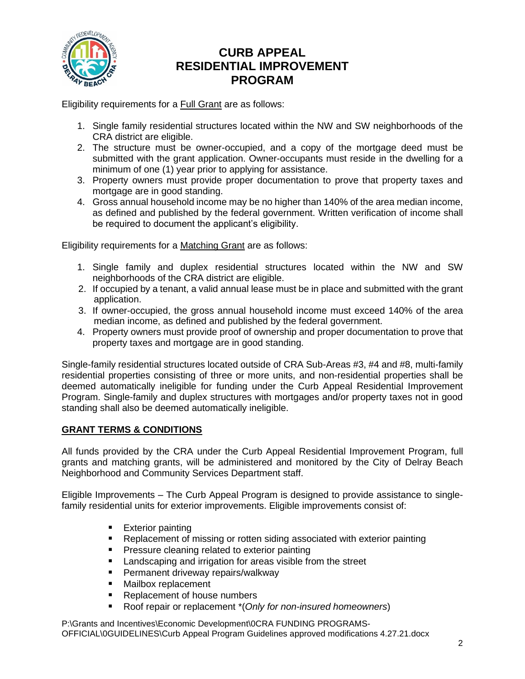

Eligibility requirements for a Full Grant are as follows:

- 1. Single family residential structures located within the NW and SW neighborhoods of the CRA district are eligible.
- 2. The structure must be owner-occupied, and a copy of the mortgage deed must be submitted with the grant application. Owner-occupants must reside in the dwelling for a minimum of one (1) year prior to applying for assistance.
- 3. Property owners must provide proper documentation to prove that property taxes and mortgage are in good standing.
- 4. Gross annual household income may be no higher than 140% of the area median income, as defined and published by the federal government. Written verification of income shall be required to document the applicant's eligibility.

Eligibility requirements for a Matching Grant are as follows:

- 1. Single family and duplex residential structures located within the NW and SW neighborhoods of the CRA district are eligible.
- 2. If occupied by a tenant, a valid annual lease must be in place and submitted with the grant application.
- 3. If owner-occupied, the gross annual household income must exceed 140% of the area median income, as defined and published by the federal government.
- 4. Property owners must provide proof of ownership and proper documentation to prove that property taxes and mortgage are in good standing.

Single-family residential structures located outside of CRA Sub-Areas #3, #4 and #8, multi-family residential properties consisting of three or more units, and non-residential properties shall be deemed automatically ineligible for funding under the Curb Appeal Residential Improvement Program. Single-family and duplex structures with mortgages and/or property taxes not in good standing shall also be deemed automatically ineligible.

#### **GRANT TERMS & CONDITIONS**

All funds provided by the CRA under the Curb Appeal Residential Improvement Program, full grants and matching grants, will be administered and monitored by the City of Delray Beach Neighborhood and Community Services Department staff.

Eligible Improvements – The Curb Appeal Program is designed to provide assistance to singlefamily residential units for exterior improvements. Eligible improvements consist of:

- Exterior painting
- Replacement of missing or rotten siding associated with exterior painting
- Pressure cleaning related to exterior painting
- Landscaping and irrigation for areas visible from the street
- Permanent driveway repairs/walkway
- Mailbox replacement
- Replacement of house numbers
- Roof repair or replacement <sup>\*</sup> (*Only for non-insured homeowners*)

P:\Grants and Incentives\Economic Development\0CRA FUNDING PROGRAMS-OFFICIAL\0GUIDELINES\Curb Appeal Program Guidelines approved modifications 4.27.21.docx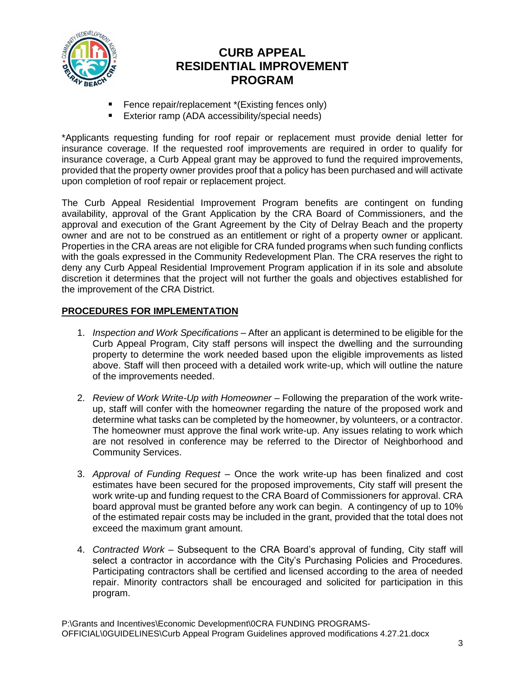

- Fence repair/replacement \*(Existing fences only)
- Exterior ramp (ADA accessibility/special needs)

\*Applicants requesting funding for roof repair or replacement must provide denial letter for insurance coverage. If the requested roof improvements are required in order to qualify for insurance coverage, a Curb Appeal grant may be approved to fund the required improvements, provided that the property owner provides proof that a policy has been purchased and will activate upon completion of roof repair or replacement project.

The Curb Appeal Residential Improvement Program benefits are contingent on funding availability, approval of the Grant Application by the CRA Board of Commissioners, and the approval and execution of the Grant Agreement by the City of Delray Beach and the property owner and are not to be construed as an entitlement or right of a property owner or applicant. Properties in the CRA areas are not eligible for CRA funded programs when such funding conflicts with the goals expressed in the Community Redevelopment Plan. The CRA reserves the right to deny any Curb Appeal Residential Improvement Program application if in its sole and absolute discretion it determines that the project will not further the goals and objectives established for the improvement of the CRA District.

#### **PROCEDURES FOR IMPLEMENTATION**

- 1. *Inspection and Work Specifications* After an applicant is determined to be eligible for the Curb Appeal Program, City staff persons will inspect the dwelling and the surrounding property to determine the work needed based upon the eligible improvements as listed above. Staff will then proceed with a detailed work write-up, which will outline the nature of the improvements needed.
- 2. *Review of Work Write-Up with Homeowner* Following the preparation of the work writeup, staff will confer with the homeowner regarding the nature of the proposed work and determine what tasks can be completed by the homeowner, by volunteers, or a contractor. The homeowner must approve the final work write-up. Any issues relating to work which are not resolved in conference may be referred to the Director of Neighborhood and Community Services.
- 3. *Approval of Funding Request –* Once the work write-up has been finalized and cost estimates have been secured for the proposed improvements, City staff will present the work write-up and funding request to the CRA Board of Commissioners for approval. CRA board approval must be granted before any work can begin. A contingency of up to 10% of the estimated repair costs may be included in the grant, provided that the total does not exceed the maximum grant amount.
- 4. *Contracted Work* Subsequent to the CRA Board's approval of funding, City staff will select a contractor in accordance with the City's Purchasing Policies and Procedures. Participating contractors shall be certified and licensed according to the area of needed repair. Minority contractors shall be encouraged and solicited for participation in this program.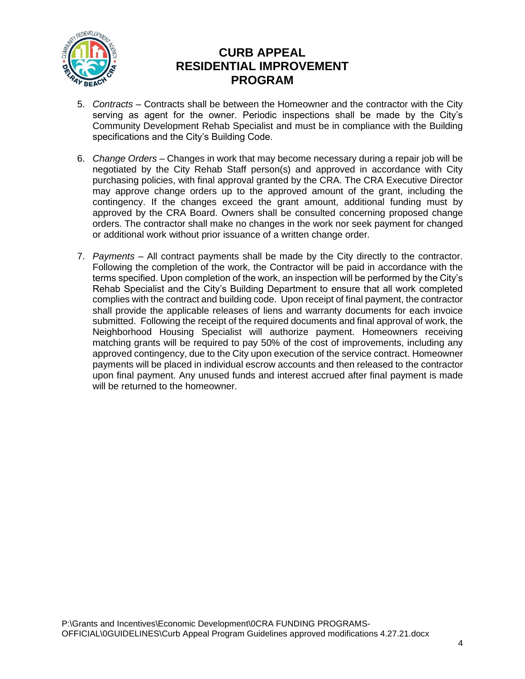

- 5. *Contracts* Contracts shall be between the Homeowner and the contractor with the City serving as agent for the owner. Periodic inspections shall be made by the City's Community Development Rehab Specialist and must be in compliance with the Building specifications and the City's Building Code.
- 6. *Change Orders* Changes in work that may become necessary during a repair job will be negotiated by the City Rehab Staff person(s) and approved in accordance with City purchasing policies, with final approval granted by the CRA. The CRA Executive Director may approve change orders up to the approved amount of the grant, including the contingency. If the changes exceed the grant amount, additional funding must by approved by the CRA Board. Owners shall be consulted concerning proposed change orders. The contractor shall make no changes in the work nor seek payment for changed or additional work without prior issuance of a written change order.
- 7. *Payments* All contract payments shall be made by the City directly to the contractor. Following the completion of the work, the Contractor will be paid in accordance with the terms specified. Upon completion of the work, an inspection will be performed by the City's Rehab Specialist and the City's Building Department to ensure that all work completed complies with the contract and building code. Upon receipt of final payment, the contractor shall provide the applicable releases of liens and warranty documents for each invoice submitted. Following the receipt of the required documents and final approval of work, the Neighborhood Housing Specialist will authorize payment. Homeowners receiving matching grants will be required to pay 50% of the cost of improvements, including any approved contingency, due to the City upon execution of the service contract. Homeowner payments will be placed in individual escrow accounts and then released to the contractor upon final payment. Any unused funds and interest accrued after final payment is made will be returned to the homeowner.